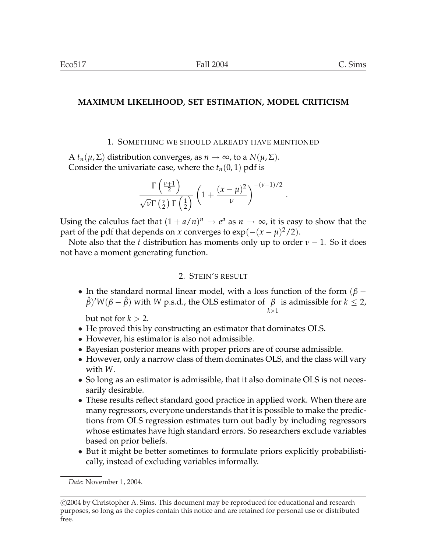# **MAXIMUM LIKELIHOOD, SET ESTIMATION, MODEL CRITICISM**

### 1. SOMETHING WE SHOULD ALREADY HAVE MENTIONED

 $A t_n(\mu, \Sigma)$  distribution converges, as  $n \to \infty$ , to a  $N(\mu, \Sigma)$ . Consider the univariate case, where the  $t_n(0, 1)$  pdf is

$$
\frac{\Gamma\left(\frac{\nu+1}{2}\right)}{\sqrt{\nu}\Gamma\left(\frac{\nu}{2}\right)\Gamma\left(\frac{1}{2}\right)} \left(1 + \frac{(x-\mu)^2}{\nu}\right)^{-(\nu+1)/2}.
$$

Using the calculus fact that  $(1 + a/n)^n \to e^a$  as  $n \to \infty$ , it is easy to show that the part of the pdf that depends on *x* converges to  $\exp(-(x-\mu)^2/2)$ .

Note also that the *t* distribution has moments only up to order  $\nu - 1$ . So it does not have a moment generating function.

### 2. STEIN'S RESULT

• In the standard normal linear model, with a loss function of the form ( $\beta$  –  $\hat{\beta}$ <sup>*'W*( $\beta - \hat{\beta}$ )</sup> with *W* p.s.d., the OLS estimator of  $\beta$  is admissible for *k*  $\leq$  2, *k*×1

but not for  $k > 2$ .

- He proved this by constructing an estimator that dominates OLS.
- However, his estimator is also not admissible.
- Bayesian posterior means with proper priors are of course admissible.
- However, only a narrow class of them dominates OLS, and the class will vary with *W*.
- So long as an estimator is admissible, that it also dominate OLS is not necessarily desirable.
- These results reflect standard good practice in applied work. When there are many regressors, everyone understands that it is possible to make the predictions from OLS regression estimates turn out badly by including regressors whose estimates have high standard errors. So researchers exclude variables based on prior beliefs.
- But it might be better sometimes to formulate priors explicitly probabilistically, instead of excluding variables informally.

*Date*: November 1, 2004.

<sup>°</sup>c 2004 by Christopher A. Sims. This document may be reproduced for educational and research purposes, so long as the copies contain this notice and are retained for personal use or distributed free.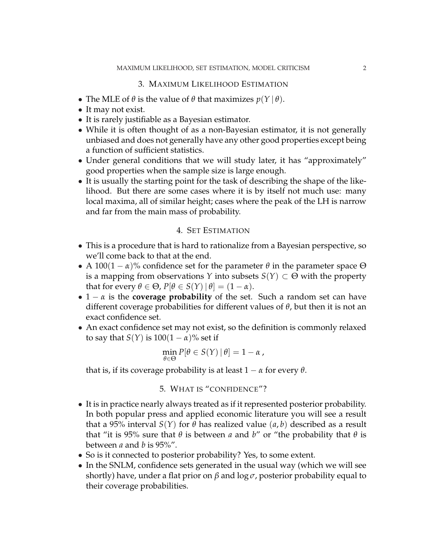# 3. MAXIMUM LIKELIHOOD ESTIMATION

- The MLE of  $\theta$  is the value of  $\theta$  that maximizes  $p(Y | \theta)$ .
- It may not exist.
- It is rarely justifiable as a Bayesian estimator.
- While it is often thought of as a non-Bayesian estimator, it is not generally unbiased and does not generally have any other good properties except being a function of sufficient statistics.
- Under general conditions that we will study later, it has "approximately" good properties when the sample size is large enough.
- It is usually the starting point for the task of describing the shape of the likelihood. But there are some cases where it is by itself not much use: many local maxima, all of similar height; cases where the peak of the LH is narrow and far from the main mass of probability.

# 4. SET ESTIMATION

- This is a procedure that is hard to rationalize from a Bayesian perspective, so we'll come back to that at the end.
- A 100(1  $\alpha$ )% confidence set for the parameter  $\theta$  in the parameter space  $\Theta$ is a mapping from observations *Y* into subsets  $S(Y) \subset \Theta$  with the property that for every  $\theta \in \Theta$ ,  $P[\theta \in S(Y) | \theta] = (1 - \alpha)$ .
- $1 \alpha$  is the **coverage probability** of the set. Such a random set can have different coverage probabilities for different values of *θ*, but then it is not an exact confidence set.
- An exact confidence set may not exist, so the definition is commonly relaxed to say that *S*(*Y*) is  $100(1 - \alpha)$ % set if

$$
\min_{\theta \in \Theta} P[\theta \in S(Y) | \theta] = 1 - \alpha,
$$

that is, if its coverage probability is at least  $1 - \alpha$  for every  $\theta$ .

5. WHAT IS "CONFIDENCE"?

- It is in practice nearly always treated as if it represented posterior probability. In both popular press and applied economic literature you will see a result that a 95% interval  $S(Y)$  for  $\theta$  has realized value  $(a, b)$  described as a result that "it is 95% sure that *θ* is between *a* and *b*" or "the probability that *θ* is between *a* and *b* is 95%".
- So is it connected to posterior probability? Yes, to some extent.
- In the SNLM, confidence sets generated in the usual way (which we will see shortly) have, under a flat prior on *β* and log *σ*, posterior probability equal to their coverage probabilities.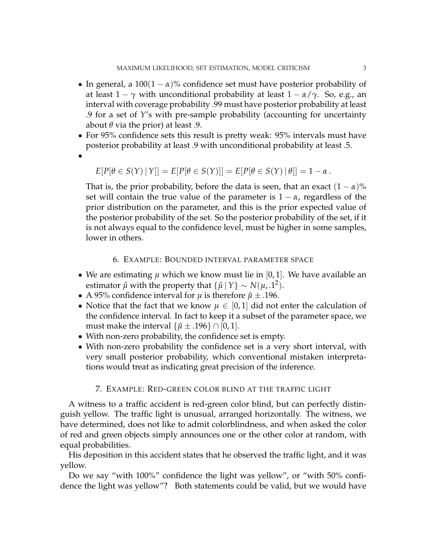- In general, a  $100(1 \alpha)$ % confidence set must have posterior probability of at least  $1 - \gamma$  with unconditional probability at least  $1 - \alpha/\gamma$ . So, e.g., an interval with coverage probability .99 must have posterior probability at least .9 for a set of *Y*'s with pre-sample probability (accounting for uncertainty about  $\theta$  via the prior) at least .9.
- For 95% confidence sets this result is pretty weak: 95% intervals must have posterior probability at least .9 with unconditional probability at least .5.
- •

$$
E[P[\theta \in S(Y) | Y]] = E[P[\theta \in S(Y)]] = E[P[\theta \in S(Y) | \theta]] = 1 - \alpha.
$$

That is, the prior probability, before the data is seen, that an exact  $(1 - \alpha)$ % set will contain the true value of the parameter is  $1 - \alpha$ , regardless of the prior distribution on the parameter, and this is the prior expected value of the posterior probability of the set. So the posterior probability of the set, if it is not always equal to the confidence level, must be higher in some samples, lower in others.

#### 6. EXAMPLE: BOUNDED INTERVAL PARAMETER SPACE

- We are estimating  $\mu$  which we know must lie in [0, 1]. We have available an estimator  $\hat{\mu}$  with the property that  $\{\hat{\mu} | Y\} \sim N(\mu, 1^2)$ .
- A 95% confidence interval for  $\mu$  is therefore  $\hat{\mu} \pm .196$ .
- Notice that the fact that we know  $\mu \in [0,1]$  did not enter the calculation of the confidence interval. In fact to keep it a subset of the parameter space, we must make the interval  $\{\hat{\mu} \pm .196\} \cap [0,1]$ .
- With non-zero probability, the confidence set is empty.
- With non-zero probability the confidence set is a very short interval, with very small posterior probability, which conventional mistaken interpretations would treat as indicating great precision of the inference.

#### 7. EXAMPLE: RED-GREEN COLOR BLIND AT THE TRAFFIC LIGHT

A witness to a traffic accident is red-green color blind, but can perfectly distinguish yellow. The traffic light is unusual, arranged horizontally. The witness, we have determined, does not like to admit colorblindness, and when asked the color of red and green objects simply announces one or the other color at random, with equal probabilities.

His deposition in this accident states that he observed the traffic light, and it was yellow.

Do we say "with 100%" confidence the light was yellow", or "with 50% confidence the light was yellow"? Both statements could be valid, but we would have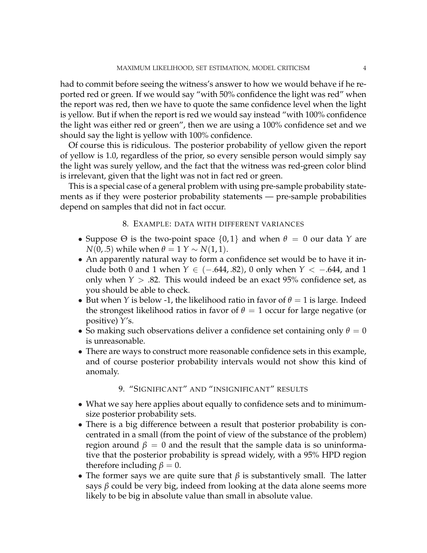had to commit before seeing the witness's answer to how we would behave if he reported red or green. If we would say "with 50% confidence the light was red" when the report was red, then we have to quote the same confidence level when the light is yellow. But if when the report is red we would say instead "with 100% confidence the light was either red or green", then we are using a 100% confidence set and we should say the light is yellow with 100% confidence.

Of course this is ridiculous. The posterior probability of yellow given the report of yellow is 1.0, regardless of the prior, so every sensible person would simply say the light was surely yellow, and the fact that the witness was red-green color blind is irrelevant, given that the light was not in fact red or green.

This is a special case of a general problem with using pre-sample probability statements as if they were posterior probability statements — pre-sample probabilities depend on samples that did not in fact occur.

### 8. EXAMPLE: DATA WITH DIFFERENT VARIANCES

- Suppose  $\Theta$  is the two-point space  $\{0,1\}$  and when  $\theta = 0$  our data *Y* are  $N(0, .5)$  while when  $\theta = 1$   $\Upsilon \sim N(1, 1)$ .
- An apparently natural way to form a confidence set would be to have it include both 0 and 1 when *Y* ∈ (−.644, .82), 0 only when *Y* < −.644, and 1 only when  $Y > .82$ . This would indeed be an exact 95% confidence set, as you should be able to check.
- But when *Y* is below -1, the likelihood ratio in favor of  $\theta = 1$  is large. Indeed the strongest likelihood ratios in favor of  $\theta = 1$  occur for large negative (or positive) *Y*'s.
- So making such observations deliver a confidence set containing only  $\theta = 0$ is unreasonable.
- There are ways to construct more reasonable confidence sets in this example, and of course posterior probability intervals would not show this kind of anomaly.

# 9. "SIGNIFICANT" AND "INSIGNIFICANT" RESULTS

- What we say here applies about equally to confidence sets and to minimumsize posterior probability sets.
- There is a big difference between a result that posterior probability is concentrated in a small (from the point of view of the substance of the problem) region around  $\beta = 0$  and the result that the sample data is so uninformative that the posterior probability is spread widely, with a 95% HPD region therefore including  $\beta = 0$ .
- The former says we are quite sure that  $\beta$  is substantively small. The latter says *β* could be very big, indeed from looking at the data alone seems more likely to be big in absolute value than small in absolute value.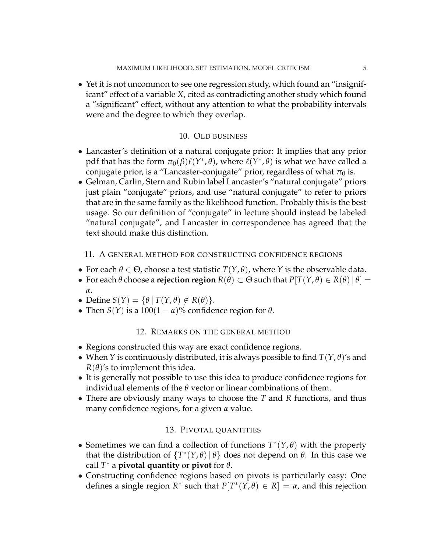• Yet it is not uncommon to see one regression study, which found an "insignificant" effect of a variable *X*, cited as contradicting another study which found a "significant" effect, without any attention to what the probability intervals were and the degree to which they overlap.

# 10. OLD BUSINESS

- Lancaster's definition of a natural conjugate prior: It implies that any prior pdf that has the form  $\pi_0(\beta)\ell(Y^*,\theta)$ , where  $\ell(Y^*,\theta)$  is what we have called a conjugate prior, is a "Lancaster-conjugate" prior, regardless of what  $\pi_0$  is.
- Gelman, Carlin, Stern and Rubin label Lancaster's "natural conjugate" priors just plain "conjugate" priors, and use "natural conjugate" to refer to priors that are in the same family as the likelihood function. Probably this is the best usage. So our definition of "conjugate" in lecture should instead be labeled "natural conjugate", and Lancaster in correspondence has agreed that the text should make this distinction.

# 11. A GENERAL METHOD FOR CONSTRUCTING CONFIDENCE REGIONS

- For each  $\theta \in \Theta$ , choose a test statistic  $T(Y, \theta)$ , where *Y* is the observable data.
- For each  $\theta$  choose a **rejection region**  $R(\theta) \subset \Theta$  such that  $P[T(Y, \theta) \in R(\theta) | \theta] =$ *α*.
- Define  $S(Y) = \{ \theta | T(Y, \theta) \notin R(\theta) \}.$
- Then *S*(*Y*) is a 100(1  $\alpha$ )% confidence region for  $\theta$ .

# 12. REMARKS ON THE GENERAL METHOD

- Regions constructed this way are exact confidence regions.
- When *Y* is continuously distributed, it is always possible to find  $T(Y, \theta)$ 's and  $R(\theta)$ 's to implement this idea.
- It is generally not possible to use this idea to produce confidence regions for individual elements of the *θ* vector or linear combinations of them.
- There are obviously many ways to choose the *T* and *R* functions, and thus many confidence regions, for a given *α* value.

# 13. PIVOTAL QUANTITIES

- Sometimes we can find a collection of functions  $T^*(Y,\theta)$  with the property that the distribution of  $\{T^*(Y,\theta) | \theta\}$  does not depend on  $\theta$ . In this case we call  $T^*$  a **pivotal quantity** or **pivot** for  $\theta$ .
- Constructing confidence regions based on pivots is particularly easy: One defines a single region  $R^*$  such that  $P[T^*(Y,\theta) \in R] = \alpha$ , and this rejection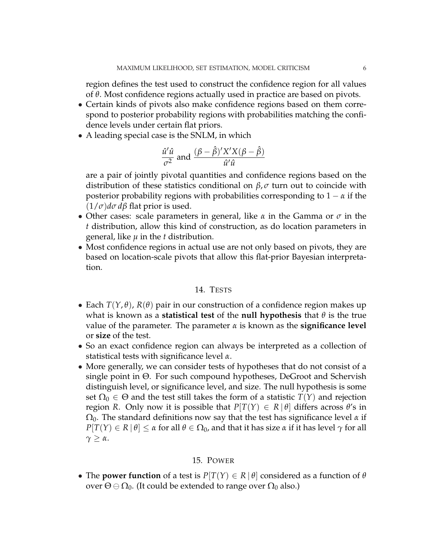region defines the test used to construct the confidence region for all values of *θ*. Most confidence regions actually used in practice are based on pivots.

- Certain kinds of pivots also make confidence regions based on them correspond to posterior probability regions with probabilities matching the confidence levels under certain flat priors.
- A leading special case is the SNLM, in which

$$
\frac{\hat{u}'\hat{u}}{\sigma^2}
$$
 and 
$$
\frac{(\beta - \hat{\beta})'X'X(\beta - \hat{\beta})}{\hat{u}'\hat{u}}
$$

are a pair of jointly pivotal quantities and confidence regions based on the distribution of these statistics conditional on *β*, *σ* turn out to coincide with posterior probability regions with probabilities corresponding to  $1 - \alpha$  if the (1/*σ*)*dσ dβ* flat prior is used.

- Other cases: scale parameters in general, like *α* in the Gamma or *σ* in the *t* distribution, allow this kind of construction, as do location parameters in general, like *µ* in the *t* distribution.
- Most confidence regions in actual use are not only based on pivots, they are based on location-scale pivots that allow this flat-prior Bayesian interpretation.

### 14. TESTS

- Each  $T(Y, \theta)$ ,  $R(\theta)$  pair in our construction of a confidence region makes up what is known as a **statistical test** of the **null hypothesis** that  $\theta$  is the true value of the parameter. The parameter *α* is known as the **significance level** or **size** of the test.
- So an exact confidence region can always be interpreted as a collection of statistical tests with significance level *α*.
- More generally, we can consider tests of hypotheses that do not consist of a single point in Θ. For such compound hypotheses, DeGroot and Schervish distinguish level, or significance level, and size. The null hypothesis is some set  $\Omega_0 \in \Theta$  and the test still takes the form of a statistic  $T(Y)$  and rejection region *R*. Only now it is possible that  $P[T(Y) \in R | \theta]$  differs across  $\theta$ 's in  $\Omega_0$ . The standard definitions now say that the test has significance level  $\alpha$  if  $P[T(Y) \in R | \theta] \leq \alpha$  for all  $\theta \in \Omega_0$ , and that it has size  $\alpha$  if it has level  $\gamma$  for all *γ* ≥ *α*.

### 15. POWER

• The **power function** of a test is  $P[T(Y) \in R | \theta]$  considered as a function of  $\theta$ over  $\Theta \ominus \Omega_0$ . (It could be extended to range over  $\Omega_0$  also.)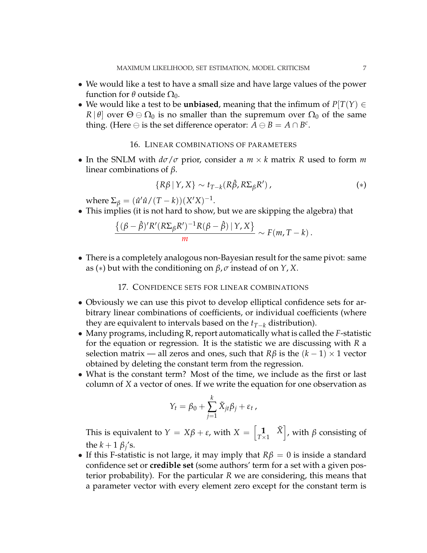- We would like a test to have a small size and have large values of the power function for  $θ$  outside  $Ω_0$ .
- We would like a test to be **unbiased**, meaning that the infimum of  $P[T(Y) \in$ *R* |  $\theta$ | over  $\Theta \oplus \Omega_0$  is no smaller than the supremum over  $\Omega_0$  of the same thing. (Here  $\ominus$  is the set difference operator:  $\overline{A} \ominus B = A \cap B^c$ .

### 16. LINEAR COMBINATIONS OF PARAMETERS

• In the SNLM with *dσ*/*σ* prior, consider a *m* × *k* matrix *R* used to form *m* linear combinations of *β*.

$$
\{R\beta \mid Y, X\} \sim t_{T-k}(R\hat{\beta}, R\Sigma_{\beta}R'), \qquad (*)
$$

 $where \ \Sigma_{\beta} = (\hat{u}'\hat{u}/(T-k))(X'X)^{-1}.$ 

• This implies (it is not hard to show, but we are skipping the algebra) that

$$
\frac{\{(\beta-\hat{\beta})^{\prime}R^{\prime}(R\Sigma_{\beta}R^{\prime})^{-1}R(\beta-\hat{\beta})\mid\Upsilon,X\}}{m} \sim F(m,T-k).
$$

• There is a completely analogous non-Bayesian result for the same pivot: same as (∗) but with the conditioning on *β*, *σ* instead of on *Y*, *X*.

17. CONFIDENCE SETS FOR LINEAR COMBINATIONS

- Obviously we can use this pivot to develop elliptical confidence sets for arbitrary linear combinations of coefficients, or individual coefficients (where they are equivalent to intervals based on the *tT*−*<sup>k</sup>* distribution).
- Many programs, including R, report automatically what is called the *F*-statistic for the equation or regression. It is the statistic we are discussing with *R* a selection matrix — all zeros and ones, such that  $R\beta$  is the  $(k-1) \times 1$  vector obtained by deleting the constant term from the regression.
- What is the constant term? Most of the time, we include as the first or last column of *X* a vector of ones. If we write the equation for one observation as

$$
Y_t = \beta_0 + \sum_{j=1}^k \tilde{X}_{jt} \beta_j + \varepsilon_t,
$$

This is equivalent to  $Y = X\beta + \varepsilon$ , with  $X =$ h  $\left[\begin{matrix} \mathbf{1} & \tilde{X} \\ T \times 1 & \end{matrix}\right]$ , with *β* consisting of the  $k + 1 \beta_j$ 's.

• If this F-statistic is not large, it may imply that  $R\beta = 0$  is inside a standard confidence set or **credible set** (some authors' term for a set with a given posterior probability). For the particular *R* we are considering, this means that a parameter vector with every element zero except for the constant term is